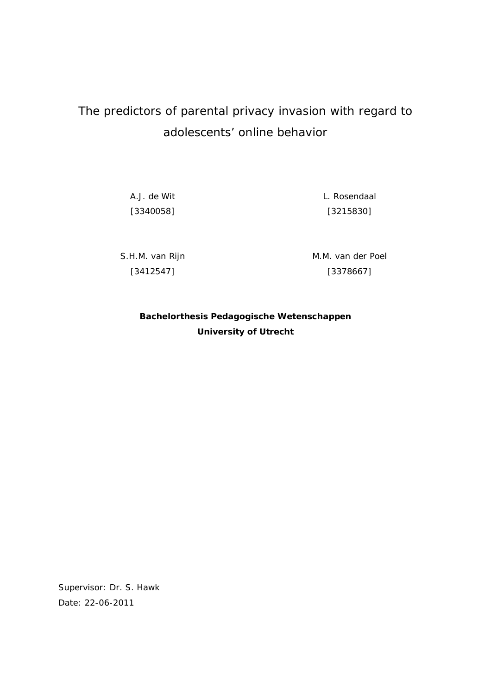# The predictors of parental privacy invasion with regard to adolescents' online behavior

A.J. de Wit [3340058] L. Rosendaal [3215830]

S.H.M. van Rijn [3412547]

M.M. van der Poel [3378667]

**Bachelorthesis Pedagogische Wetenschappen University of Utrecht**

Supervisor: Dr. S. Hawk Date: 22-06-2011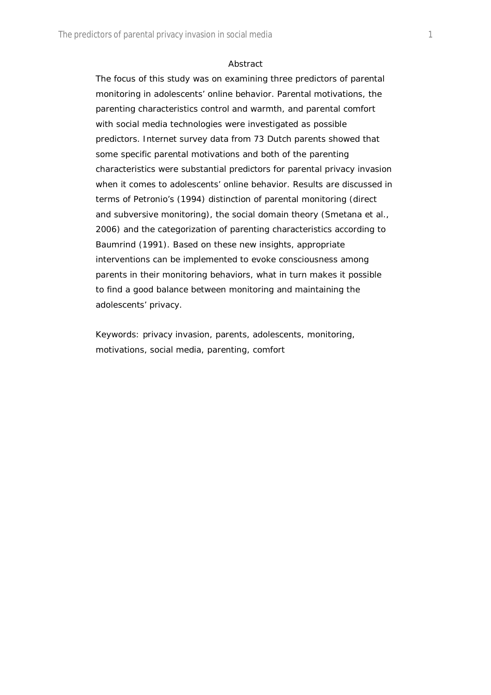#### *Abstract*

The focus of this study was on examining three predictors of parental monitoring in adolescents' online behavior. Parental motivations, the parenting characteristics control and warmth, and parental comfort with social media technologies were investigated as possible predictors. Internet survey data from 73 Dutch parents showed that some specific parental motivations and both of the parenting characteristics were substantial predictors for parental privacy invasion when it comes to adolescents' online behavior. Results are discussed in terms of Petronio's (1994) distinction of parental monitoring (direct and subversive monitoring), the social domain theory (Smetana et al., 2006) and the categorization of parenting characteristics according to Baumrind (1991). Based on these new insights, appropriate interventions can be implemented to evoke consciousness among parents in their monitoring behaviors, what in turn makes it possible to find a good balance between monitoring and maintaining the adolescents' privacy.

*Keywords:* privacy invasion, parents, adolescents, monitoring, motivations, social media, parenting, comfort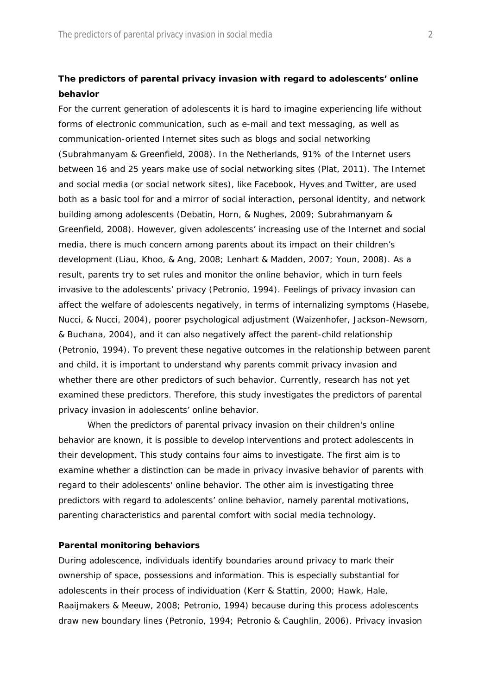# **The predictors of parental privacy invasion with regard to adolescents' online behavior**

For the current generation of adolescents it is hard to imagine experiencing life without forms of electronic communication, such as e-mail and text messaging, as well as communication-oriented Internet sites such as blogs and social networking (Subrahmanyam & Greenfield, 2008). In the Netherlands, 91% of the Internet users between 16 and 25 years make use of social networking sites (Plat, 2011). The Internet and social media (or social network sites), like Facebook, Hyves and Twitter, are used both as a basic tool for and a mirror of social interaction, personal identity, and network building among adolescents (Debatin, Horn, & Nughes, 2009; Subrahmanyam & Greenfield, 2008). However, given adolescents' increasing use of the Internet and social media, there is much concern among parents about its impact on their children's development (Liau, Khoo, & Ang, 2008; Lenhart & Madden, 2007; Youn, 2008). As a result, parents try to set rules and monitor the online behavior, which in turn feels invasive to the adolescents' privacy (Petronio, 1994). Feelings of privacy invasion can affect the welfare of adolescents negatively, in terms of internalizing symptoms (Hasebe, Nucci, & Nucci, 2004), poorer psychological adjustment (Waizenhofer, Jackson-Newsom, & Buchana, 2004), and it can also negatively affect the parent-child relationship (Petronio, 1994). To prevent these negative outcomes in the relationship between parent and child, it is important to understand why parents commit privacy invasion and whether there are other predictors of such behavior. Currently, research has not yet examined these predictors. Therefore, this study investigates the predictors of parental privacy invasion in adolescents' online behavior.

When the predictors of parental privacy invasion on their children's online behavior are known, it is possible to develop interventions and protect adolescents in their development. This study contains four aims to investigate. The first aim is to examine whether a distinction can be made in privacy invasive behavior of parents with regard to their adolescents' online behavior. The other aim is investigating three predictors with regard to adolescents' online behavior, namely parental motivations, parenting characteristics and parental comfort with social media technology.

#### **Parental monitoring behaviors**

During adolescence, individuals identify boundaries around privacy to mark their ownership of space, possessions and information. This is especially substantial for adolescents in their process of individuation (Kerr & Stattin, 2000; Hawk, Hale, Raaijmakers & Meeuw, 2008; Petronio, 1994) because during this process adolescents draw new boundary lines (Petronio, 1994; Petronio & Caughlin, 2006). Privacy invasion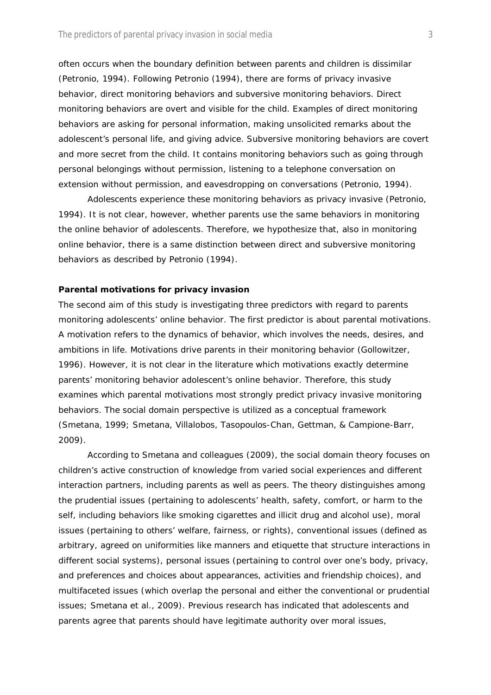often occurs when the boundary definition between parents and children is dissimilar (Petronio, 1994). Following Petronio (1994), there are forms of privacy invasive behavior, direct monitoring behaviors and subversive monitoring behaviors. Direct monitoring behaviors are overt and visible for the child. Examples of direct monitoring behaviors are asking for personal information, making unsolicited remarks about the adolescent's personal life, and giving advice. Subversive monitoring behaviors are covert and more secret from the child. It contains monitoring behaviors such as going through personal belongings without permission, listening to a telephone conversation on extension without permission, and eavesdropping on conversations (Petronio, 1994).

Adolescents experience these monitoring behaviors as privacy invasive (Petronio, 1994). It is not clear, however, whether parents use the same behaviors in monitoring the online behavior of adolescents. Therefore, we hypothesize that, also in monitoring online behavior, there is a same distinction between direct and subversive monitoring behaviors as described by Petronio (1994).

#### **Parental motivations for privacy invasion**

The second aim of this study is investigating three predictors with regard to parents monitoring adolescents' online behavior. The first predictor is about parental motivations. A motivation refers to the dynamics of behavior, which involves the needs, desires, and ambitions in life. Motivations drive parents in their monitoring behavior (Gollowitzer, 1996). However, it is not clear in the literature which motivations exactly determine parents' monitoring behavior adolescent's online behavior. Therefore, this study examines which parental motivations most strongly predict privacy invasive monitoring behaviors. The social domain perspective is utilized as a conceptual framework (Smetana, 1999; Smetana, Villalobos, Tasopoulos-Chan, Gettman, & Campione-Barr, 2009).

According to Smetana and colleagues (2009), the social domain theory focuses on children's active construction of knowledge from varied social experiences and different interaction partners, including parents as well as peers. The theory distinguishes among the *prudential issues* (pertaining to adolescents' health, safety, comfort, or harm to the self, including behaviors like smoking cigarettes and illicit drug and alcohol use), *moral issues* (pertaining to others' welfare, fairness, or rights), *conventional issues* (defined as arbitrary, agreed on uniformities like manners and etiquette that structure interactions in different social systems), *personal issues* (pertaining to control over one's body, privacy, and preferences and choices about appearances, activities and friendship choices), and *multifaceted issues* (which overlap the personal and either the conventional or prudential issues; Smetana et al., 2009). Previous research has indicated that adolescents and parents agree that parents should have legitimate authority over moral issues,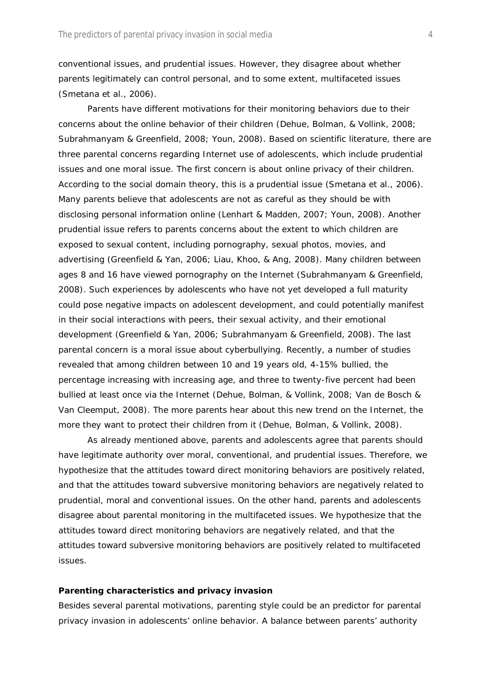conventional issues, and prudential issues. However, they disagree about whether parents legitimately can control personal, and to some extent, multifaceted issues (Smetana et al., 2006).

Parents have different motivations for their monitoring behaviors due to their concerns about the online behavior of their children (Dehue, Bolman, & Vollink, 2008; Subrahmanyam & Greenfield, 2008; Youn, 2008). Based on scientific literature, there are three parental concerns regarding Internet use of adolescents, which include prudential issues and one moral issue. The first concern is about online privacy of their children. According to the social domain theory, this is a prudential issue (Smetana et al., 2006). Many parents believe that adolescents are not as careful as they should be with disclosing personal information online (Lenhart & Madden, 2007; Youn, 2008). Another prudential issue refers to parents concerns about the extent to which children are exposed to sexual content, including pornography, sexual photos, movies, and advertising (Greenfield & Yan, 2006; Liau, Khoo, & Ang, 2008). Many children between ages 8 and 16 have viewed pornography on the Internet (Subrahmanyam & Greenfield, 2008). Such experiences by adolescents who have not yet developed a full maturity could pose negative impacts on adolescent development, and could potentially manifest in their social interactions with peers, their sexual activity, and their emotional development (Greenfield & Yan, 2006; Subrahmanyam & Greenfield, 2008). The last parental concern is a moral issue about cyberbullying. Recently, a number of studies revealed that among children between 10 and 19 years old, 4-15% bullied, the percentage increasing with increasing age, and three to twenty-five percent had been bullied at least once via the Internet (Dehue, Bolman, & Vollink, 2008; Van de Bosch & Van Cleemput, 2008). The more parents hear about this new trend on the Internet, the more they want to protect their children from it (Dehue, Bolman, & Vollink, 2008).

As already mentioned above, parents and adolescents agree that parents should have legitimate authority over moral, conventional, and prudential issues. Therefore, we hypothesize that the attitudes toward direct monitoring behaviors are positively related, and that the attitudes toward subversive monitoring behaviors are negatively related to prudential, moral and conventional issues. On the other hand, parents and adolescents disagree about parental monitoring in the multifaceted issues. We hypothesize that the attitudes toward direct monitoring behaviors are negatively related, and that the attitudes toward subversive monitoring behaviors are positively related to multifaceted issues.

#### **Parenting characteristics and privacy invasion**

Besides several parental motivations, parenting style could be an predictor for parental privacy invasion in adolescents' online behavior. A balance between parents' authority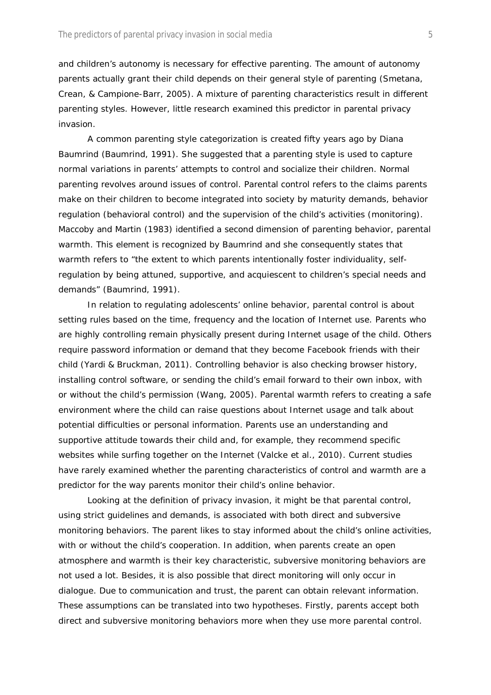and children's autonomy is necessary for effective parenting. The amount of autonomy parents actually grant their child depends on their general style of parenting (Smetana, Crean, & Campione-Barr, 2005). A mixture of parenting characteristics result in different parenting styles. However, little research examined this predictor in parental privacy invasion.

A common parenting style categorization is created fifty years ago by Diana Baumrind (Baumrind, 1991). She suggested that a parenting style is used to capture normal variations in parents' attempts to control and socialize their children. Normal parenting revolves around issues of *control.* Parental control refers to the claims parents make on their children to become integrated into society by maturity demands, behavior regulation (behavioral control) and the supervision of the child's activities (monitoring). Maccoby and Martin (1983) identified a second dimension of parenting behavior, parental *warmth.* This element is recognized by Baumrind and she consequently states that warmth refers to "the extent to which parents intentionally foster individuality, selfregulation by being attuned, supportive, and acquiescent to children's special needs and demands" (Baumrind, 1991).

In relation to regulating adolescents' online behavior, parental control is about setting rules based on the time, frequency and the location of Internet use. Parents who are highly controlling remain physically present during Internet usage of the child. Others require password information or demand that they become Facebook friends with their child (Yardi & Bruckman, 2011). Controlling behavior is also checking browser history, installing control software, or sending the child's email forward to their own inbox, with or without the child's permission (Wang, 2005). Parental warmth refers to creating a safe environment where the child can raise questions about Internet usage and talk about potential difficulties or personal information. Parents use an understanding and supportive attitude towards their child and, for example, they recommend specific websites while surfing together on the Internet (Valcke et al., 2010). Current studies have rarely examined whether the parenting characteristics of control and warmth are a predictor for the way parents monitor their child's online behavior.

Looking at the definition of privacy invasion, it might be that parental control, using strict guidelines and demands, is associated with both direct and subversive monitoring behaviors. The parent likes to stay informed about the child's online activities, with or without the child's cooperation. In addition, when parents create an open atmosphere and warmth is their key characteristic, subversive monitoring behaviors are not used a lot. Besides, it is also possible that direct monitoring will only occur in dialogue. Due to communication and trust, the parent can obtain relevant information. These assumptions can be translated into two hypotheses. Firstly, parents accept both direct and subversive monitoring behaviors more when they use more parental control.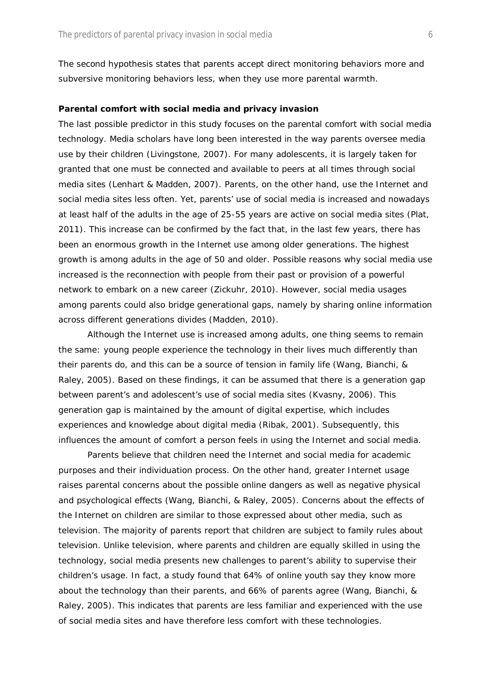The second hypothesis states that parents accept direct monitoring behaviors more and subversive monitoring behaviors less, when they use more parental warmth.

#### **Parental comfort with social media and privacy invasion**

The last possible predictor in this study focuses on the parental comfort with social media technology. Media scholars have long been interested in the way parents oversee media use by their children (Livingstone, 2007). For many adolescents, it is largely taken for granted that one must be connected and available to peers at all times through social media sites (Lenhart & Madden, 2007). Parents, on the other hand, use the Internet and social media sites less often. Yet, parents' use of social media is increased and nowadays at least half of the adults in the age of 25-55 years are active on social media sites (Plat, 2011). This increase can be confirmed by the fact that, in the last few years, there has been an enormous growth in the Internet use among older generations. The highest growth is among adults in the age of 50 and older. Possible reasons why social media use increased is the reconnection with people from their past or provision of a powerful network to embark on a new career (Zickuhr, 2010). However, social media usages among parents could also bridge generational gaps, namely by sharing online information across different generations divides (Madden, 2010).

Although the Internet use is increased among adults, one thing seems to remain the same: young people experience the technology in their lives much differently than their parents do, and this can be a source of tension in family life (Wang, Bianchi, & Raley, 2005). Based on these findings, it can be assumed that there is a generation gap between parent's and adolescent's use of social media sites (Kvasny, 2006). This generation gap is maintained by the amount of digital expertise, which includes experiences and knowledge about digital media (Ribak, 2001). Subsequently, this influences the amount of comfort a person feels in using the Internet and social media.

Parents believe that children need the Internet and social media for academic purposes and their individuation process. On the other hand, greater Internet usage raises parental concerns about the possible online dangers as well as negative physical and psychological effects (Wang, Bianchi, & Raley, 2005). Concerns about the effects of the Internet on children are similar to those expressed about other media, such as television. The majority of parents report that children are subject to family rules about television. Unlike television, where parents and children are equally skilled in using the technology, social media presents new challenges to parent's ability to supervise their children's usage. In fact, a study found that 64% of online youth say they know more about the technology than their parents, and 66% of parents agree (Wang, Bianchi, & Raley, 2005). This indicates that parents are less familiar and experienced with the use of social media sites and have therefore less comfort with these technologies.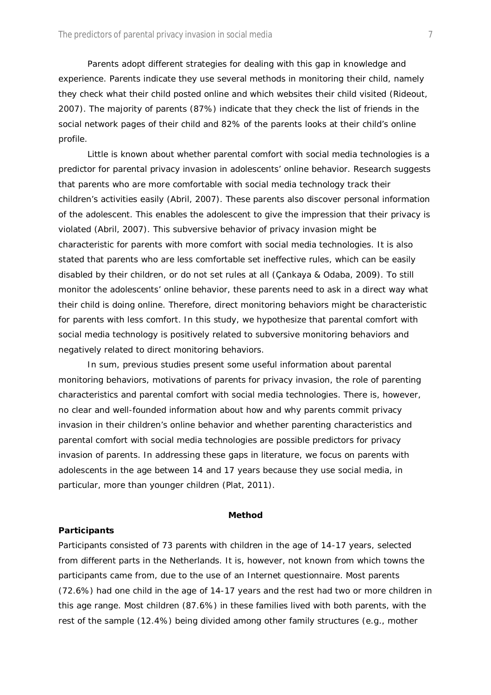Parents adopt different strategies for dealing with this gap in knowledge and experience. Parents indicate they use several methods in monitoring their child, namely they check what their child posted online and which websites their child visited (Rideout, 2007). The majority of parents (87%) indicate that they check the list of friends in the social network pages of their child and 82% of the parents looks at their child's online profile.

Little is known about whether parental comfort with social media technologies is a predictor for parental privacy invasion in adolescents' online behavior. Research suggests that parents who are more comfortable with social media technology track their children's activities easily (Abril, 2007). These parents also discover personal information of the adolescent. This enables the adolescent to give the impression that their privacy is violated (Abril, 2007). This subversive behavior of privacy invasion might be characteristic for parents with more comfort with social media technologies. It is also stated that parents who are less comfortable set ineffective rules, which can be easily disabled by their children, or do not set rules at all (Çankaya & Odaba, 2009). To still monitor the adolescents' online behavior, these parents need to ask in a direct way what their child is doing online. Therefore, direct monitoring behaviors might be characteristic for parents with less comfort. In this study, we hypothesize that parental comfort with social media technology is positively related to subversive monitoring behaviors and negatively related to direct monitoring behaviors.

In sum, previous studies present some useful information about parental monitoring behaviors, motivations of parents for privacy invasion, the role of parenting characteristics and parental comfort with social media technologies. There is, however, no clear and well-founded information about how and why parents commit privacy invasion in their children's online behavior and whether parenting characteristics and parental comfort with social media technologies are possible predictors for privacy invasion of parents. In addressing these gaps in literature, we focus on parents with adolescents in the age between 14 and 17 years because they use social media, in particular, more than younger children (Plat, 2011).

#### **Method**

#### **Participants**

Participants consisted of 73 parents with children in the age of 14-17 years, selected from different parts in the Netherlands. It is, however, not known from which towns the participants came from, due to the use of an Internet questionnaire. Most parents (72.6%) had one child in the age of 14-17 years and the rest had two or more children in this age range. Most children (87.6%) in these families lived with both parents, with the rest of the sample (12.4%) being divided among other family structures (e.g., mother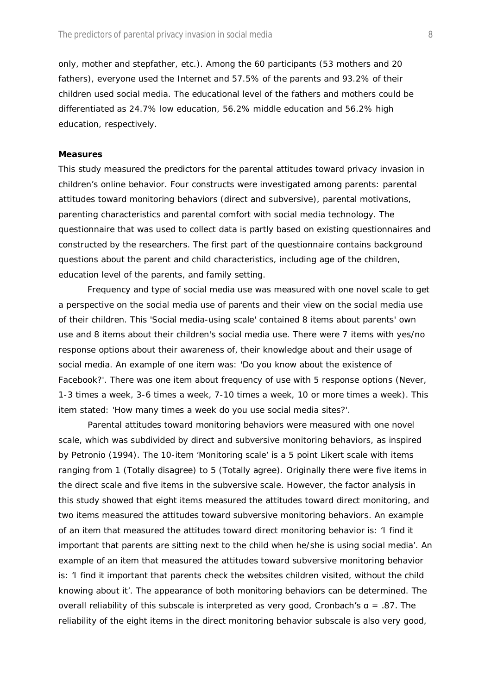only, mother and stepfather, etc.). Among the 60 participants (53 mothers and 20 fathers), everyone used the Internet and 57.5% of the parents and 93.2% of their children used social media. The educational level of the fathers and mothers could be differentiated as 24.7% low education, 56.2% middle education and 56.2% high education, respectively.

#### **Measures**

This study measured the predictors for the parental attitudes toward privacy invasion in children's online behavior. Four constructs were investigated among parents: parental attitudes toward monitoring behaviors (direct and subversive), parental motivations, parenting characteristics and parental comfort with social media technology. The questionnaire that was used to collect data is partly based on existing questionnaires and constructed by the researchers. The first part of the questionnaire contains background questions about the parent and child characteristics, including age of the children, education level of the parents, and family setting.

*Frequency and type of social media use* was measured with one novel scale to get a perspective on the social media use of parents and their view on the social media use of their children. This 'Social media-using scale' contained 8 items about parents' own use and 8 items about their children's social media use. There were 7 items with yes/no response options about their awareness of, their knowledge about and their usage of social media. An example of one item was: 'Do you know about the existence of Facebook?'. There was one item about frequency of use with 5 response options (*Never, 1-3 times a week, 3-6 times a week, 7-10 times a week, 10 or more times a week*). This item stated: 'How many times a week do you use social media sites?'.

*Parental attitudes toward monitoring behaviors* were measured with one novel scale, which was subdivided by direct and subversive monitoring behaviors, as inspired by Petronio (1994). The 10-item 'Monitoring scale' is a 5 point Likert scale with items ranging from 1 (*Totally disagree*) to 5 (*Totally agree*). Originally there were five items in the direct scale and five items in the subversive scale. However, the factor analysis in this study showed that eight items measured the attitudes toward direct monitoring, and two items measured the attitudes toward subversive monitoring behaviors. An example of an item that measured the attitudes toward direct monitoring behavior is: 'I find it important that parents are sitting next to the child when he/she is using social media'. An example of an item that measured the attitudes toward subversive monitoring behavior is: 'I find it important that parents check the websites children visited, without the child knowing about it'. The appearance of both monitoring behaviors can be determined. The overall reliability of this subscale is interpreted as very good, Cronbach's α = .87. The reliability of the eight items in the direct monitoring behavior subscale is also very good,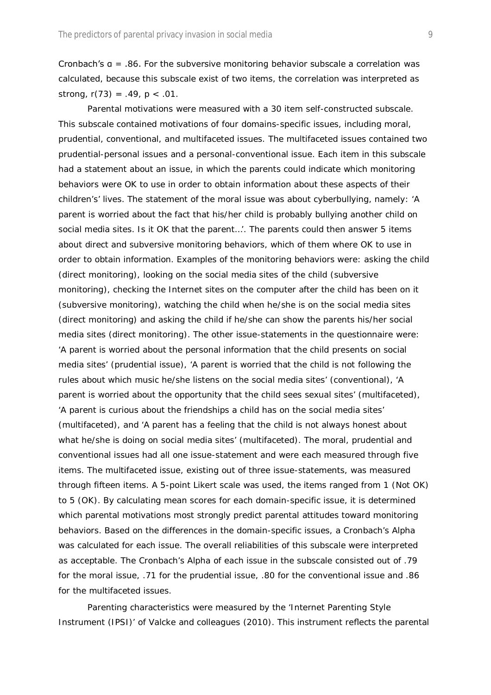Cronbach's  $a = .86$ . For the subversive monitoring behavior subscale a correlation was calculated, because this subscale exist of two items, the correlation was interpreted as strong, *r*(73) = .49, *p* < .01.

*Parental motivations* were measured with a 30 item self-constructed subscale. This subscale contained motivations of four domains-specific issues, including moral, prudential, conventional, and multifaceted issues. The multifaceted issues contained two prudential-personal issues and a personal-conventional issue. Each item in this subscale had a statement about an issue, in which the parents could indicate which monitoring behaviors were OK to use in order to obtain information about these aspects of their children's' lives. The statement of the moral issue was about cyberbullying, namely: 'A parent is worried about the fact that his/her child is probably bullying another child on social media sites. Is it OK that the parent…'. The parents could then answer 5 items about direct and subversive monitoring behaviors, which of them where OK to use in order to obtain information. Examples of the monitoring behaviors were: asking the child (direct monitoring), looking on the social media sites of the child (subversive monitoring), checking the Internet sites on the computer after the child has been on it (subversive monitoring), watching the child when he/she is on the social media sites (direct monitoring) and asking the child if he/she can show the parents his/her social media sites (direct monitoring). The other issue-statements in the questionnaire were: 'A parent is worried about the personal information that the child presents on social media sites' (prudential issue), 'A parent is worried that the child is not following the rules about which music he/she listens on the social media sites' (conventional), 'A parent is worried about the opportunity that the child sees sexual sites' (multifaceted), 'A parent is curious about the friendships a child has on the social media sites' (multifaceted), and 'A parent has a feeling that the child is not always honest about what he/she is doing on social media sites' (multifaceted). The moral, prudential and conventional issues had all one issue-statement and were each measured through five items. The multifaceted issue, existing out of three issue-statements, was measured through fifteen items. A 5-point Likert scale was used, the items ranged from 1 (*Not OK*) to 5 (*OK*). By calculating mean scores for each domain-specific issue, it is determined which parental motivations most strongly predict parental attitudes toward monitoring behaviors. Based on the differences in the domain-specific issues, a Cronbach's Alpha was calculated for each issue. The overall reliabilities of this subscale were interpreted as acceptable. The Cronbach's Alpha of each issue in the subscale consisted out of .79 for the moral issue, .71 for the prudential issue, .80 for the conventional issue and .86 for the multifaceted issues.

*Parenting characteristics* were measured by the 'Internet Parenting Style Instrument (IPSI)' of Valcke and colleagues (2010). This instrument reflects the parental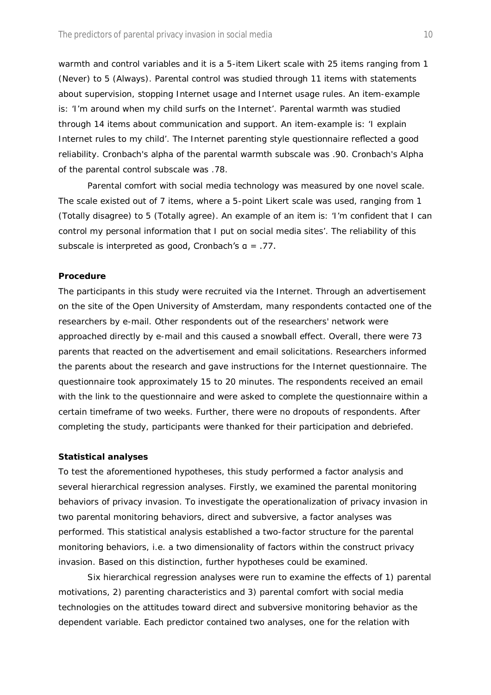warmth and control variables and it is a 5-item Likert scale with 25 items ranging from 1 (*Never*) to 5 (*Always*). Parental control was studied through 11 items with statements about supervision, stopping Internet usage and Internet usage rules. An item-example is: 'I'm around when my child surfs on the Internet'. Parental warmth was studied through 14 items about communication and support. An item-example is: 'I explain Internet rules to my child'. The Internet parenting style questionnaire reflected a good reliability. Cronbach's alpha of the parental warmth subscale was .90. Cronbach's Alpha of the parental control subscale was .78.

*Parental comfort with social media technology* was measured by one novel scale. The scale existed out of 7 items, where a 5-point Likert scale was used, ranging from 1 (*Totally disagree*) to 5 (*Totally agree*). An example of an item is: 'I'm confident that I can control my personal information that I put on social media sites'. The reliability of this subscale is interpreted as good, Cronbach's α = .77.

#### **Procedure**

The participants in this study were recruited via the Internet. Through an advertisement on the site of the Open University of Amsterdam, many respondents contacted one of the researchers by e-mail. Other respondents out of the researchers' network were approached directly by e-mail and this caused a snowball effect. Overall, there were 73 parents that reacted on the advertisement and email solicitations. Researchers informed the parents about the research and gave instructions for the Internet questionnaire. The questionnaire took approximately 15 to 20 minutes. The respondents received an email with the link to the questionnaire and were asked to complete the questionnaire within a certain timeframe of two weeks. Further, there were no dropouts of respondents. After completing the study, participants were thanked for their participation and debriefed.

#### **Statistical analyses**

To test the aforementioned hypotheses, this study performed a factor analysis and several hierarchical regression analyses. Firstly, we examined the parental monitoring behaviors of privacy invasion. To investigate the operationalization of privacy invasion in two parental monitoring behaviors, direct and subversive, a factor analyses was performed. This statistical analysis established a two-factor structure for the parental monitoring behaviors, i.e. a two dimensionality of factors within the construct privacy invasion. Based on this distinction, further hypotheses could be examined.

Six hierarchical regression analyses were run to examine the effects of 1) parental motivations, 2) parenting characteristics and 3) parental comfort with social media technologies on the attitudes toward direct and subversive monitoring behavior as the dependent variable. Each predictor contained two analyses, one for the relation with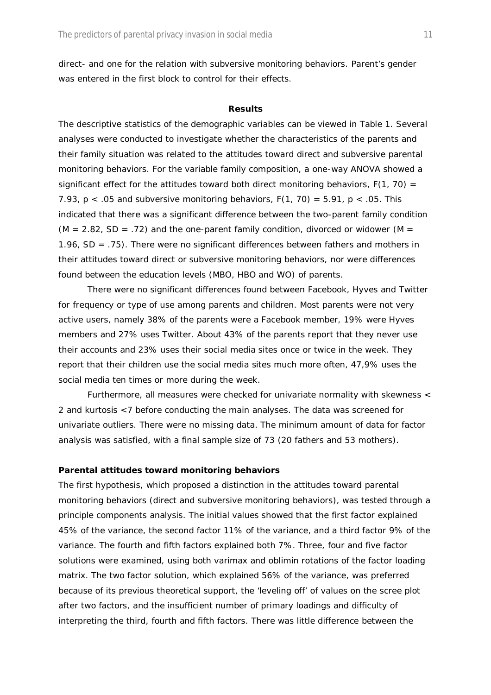direct- and one for the relation with subversive monitoring behaviors. Parent's gender was entered in the first block to control for their effects.

#### **Results**

The descriptive statistics of the demographic variables can be viewed in Table 1. Several analyses were conducted to investigate whether the characteristics of the parents and their family situation was related to the attitudes toward direct and subversive parental monitoring behaviors. For the variable family composition, a one-way ANOVA showed a significant effect for the attitudes toward both direct monitoring behaviors,  $F(1, 70) =$ 7.93, p < .05 and subversive monitoring behaviors, *F*(1, 70) = 5.91, *p* < .05. This indicated that there was a significant difference between the two-parent family condition  $(M = 2.82, SD = .72)$  and the one-parent family condition, divorced or widower  $(M = 100)$ 1.96, SD = .75). There were no significant differences between fathers and mothers in their attitudes toward direct or subversive monitoring behaviors, nor were differences found between the education levels (MBO, HBO and WO) of parents.

There were no significant differences found between Facebook, Hyves and Twitter for frequency or type of use among parents and children. Most parents were not very active users, namely 38% of the parents were a Facebook member, 19% were Hyves members and 27% uses Twitter. About 43% of the parents report that they never use their accounts and 23% uses their social media sites once or twice in the week. They report that their children use the social media sites much more often, 47,9% uses the social media ten times or more during the week.

Furthermore, all measures were checked for univariate normality with skewness < 2 and kurtosis <7 before conducting the main analyses. The data was screened for univariate outliers. There were no missing data. The minimum amount of data for factor analysis was satisfied, with a final sample size of 73 (20 fathers and 53 mothers).

#### **Parental attitudes toward monitoring behaviors**

The first hypothesis, which proposed a distinction in the attitudes toward parental monitoring behaviors (direct and subversive monitoring behaviors), was tested through a principle components analysis. The initial values showed that the first factor explained 45% of the variance, the second factor 11% of the variance, and a third factor 9% of the variance. The fourth and fifth factors explained both 7%. Three, four and five factor solutions were examined, using both varimax and oblimin rotations of the factor loading matrix. The two factor solution, which explained 56% of the variance, was preferred because of its previous theoretical support, the 'leveling off' of values on the scree plot after two factors, and the insufficient number of primary loadings and difficulty of interpreting the third, fourth and fifth factors. There was little difference between the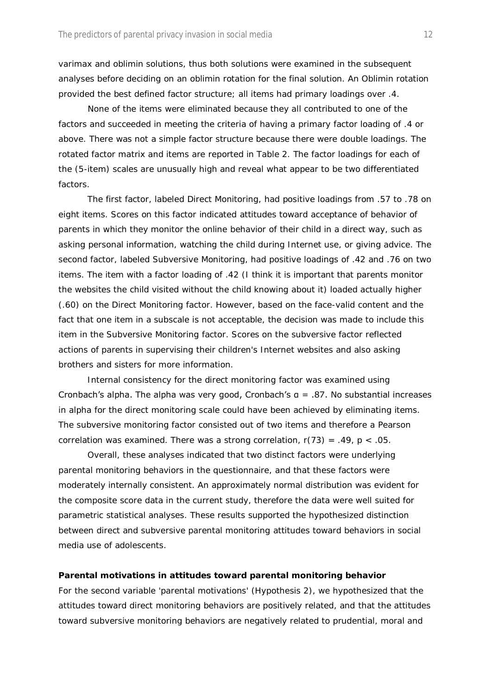varimax and oblimin solutions, thus both solutions were examined in the subsequent analyses before deciding on an oblimin rotation for the final solution. An Oblimin rotation provided the best defined factor structure; all items had primary loadings over .4.

None of the items were eliminated because they all contributed to one of the factors and succeeded in meeting the criteria of having a primary factor loading of .4 or above. There was not a simple factor structure because there were double loadings. The rotated factor matrix and items are reported in Table 2. The factor loadings for each of the (5-item) scales are unusually high and reveal what appear to be two differentiated factors.

The first factor, labeled Direct Monitoring, had positive loadings from .57 to .78 on eight items. Scores on this factor indicated attitudes toward acceptance of behavior of parents in which they monitor the online behavior of their child in a direct way, such as asking personal information, watching the child during Internet use, or giving advice. The second factor, labeled Subversive Monitoring, had positive loadings of .42 and .76 on two items. The item with a factor loading of .42 (I think it is important that parents monitor the websites the child visited without the child knowing about it) loaded actually higher (.60) on the Direct Monitoring factor. However, based on the face-valid content and the fact that one item in a subscale is not acceptable, the decision was made to include this item in the Subversive Monitoring factor. Scores on the subversive factor reflected actions of parents in supervising their children's Internet websites and also asking brothers and sisters for more information.

Internal consistency for the direct monitoring factor was examined using Cronbach's alpha. The alpha was very good, Cronbach's  $a = .87$ . No substantial increases in alpha for the direct monitoring scale could have been achieved by eliminating items. The subversive monitoring factor consisted out of two items and therefore a Pearson correlation was examined. There was a strong correlation, *r*(73) = .49, *p* < .05.

Overall, these analyses indicated that two distinct factors were underlying parental monitoring behaviors in the questionnaire, and that these factors were moderately internally consistent. An approximately normal distribution was evident for the composite score data in the current study, therefore the data were well suited for parametric statistical analyses. These results supported the hypothesized distinction between direct and subversive parental monitoring attitudes toward behaviors in social media use of adolescents.

#### **Parental motivations in attitudes toward parental monitoring behavior**

For the second variable 'parental motivations' (Hypothesis 2), we hypothesized that the attitudes toward direct monitoring behaviors are positively related, and that the attitudes toward subversive monitoring behaviors are negatively related to prudential, moral and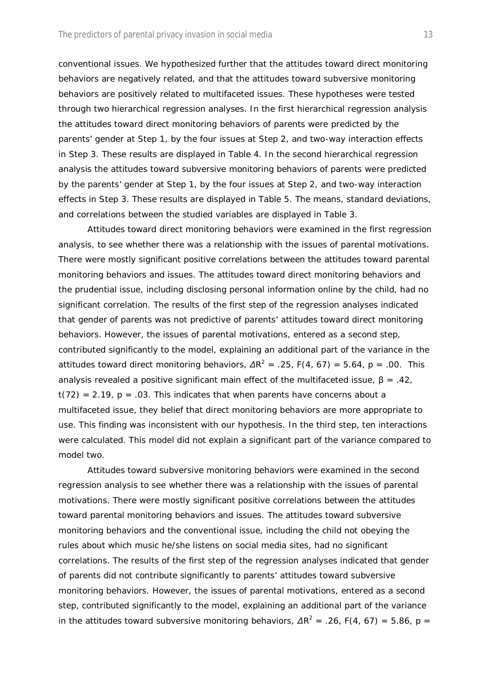conventional issues. We hypothesized further that the attitudes toward direct monitoring behaviors are negatively related, and that the attitudes toward subversive monitoring behaviors are positively related to multifaceted issues. These hypotheses were tested through two hierarchical regression analyses. In the first hierarchical regression analysis the attitudes toward direct monitoring behaviors of parents were predicted by the parents' gender at Step 1, by the four issues at Step 2, and two-way interaction effects in Step 3. These results are displayed in Table 4. In the second hierarchical regression analysis the attitudes toward subversive monitoring behaviors of parents were predicted by the parents' gender at Step 1, by the four issues at Step 2, and two-way interaction effects in Step 3. These results are displayed in Table 5. The means, standard deviations, and correlations between the studied variables are displayed in Table 3.

*Attitudes toward direct monitoring behaviors* were examined in the first regression analysis, to see whether there was a relationship with the issues of parental motivations. There were mostly significant positive correlations between the attitudes toward parental monitoring behaviors and issues. The attitudes toward direct monitoring behaviors and the prudential issue, including disclosing personal information online by the child, had no significant correlation. The results of the first step of the regression analyses indicated that gender of parents was not predictive of parents' attitudes toward direct monitoring behaviors. However, the issues of parental motivations, entered as a second step, contributed significantly to the model, explaining an additional part of the variance in the attitudes toward direct monitoring behaviors,  $\Delta R^2 = 0.25$ ,  $F(4, 67) = 5.64$ ,  $p = 0.00$ . This analysis revealed a positive significant main effect of the multifaceted issue,  $\beta = .42$ ,  $t(72) = 2.19$ ,  $p = .03$ . This indicates that when parents have concerns about a multifaceted issue, they belief that direct monitoring behaviors are more appropriate to use. This finding was inconsistent with our hypothesis. In the third step, ten interactions were calculated. This model did not explain a significant part of the variance compared to model two.

*Attitudes toward subversive monitoring behaviors* were examined in the second regression analysis to see whether there was a relationship with the issues of parental motivations. There were mostly significant positive correlations between the attitudes toward parental monitoring behaviors and issues. The attitudes toward subversive monitoring behaviors and the conventional issue, including the child not obeying the rules about which music he/she listens on social media sites, had no significant correlations. The results of the first step of the regression analyses indicated that gender of parents did not contribute significantly to parents' attitudes toward subversive monitoring behaviors. However, the issues of parental motivations, entered as a second step, contributed significantly to the model, explaining an additional part of the variance in the attitudes toward subversive monitoring behaviors,  $\Delta R^2 = 0.26$ ,  $F(4, 67) = 5.86$ ,  $p = 26$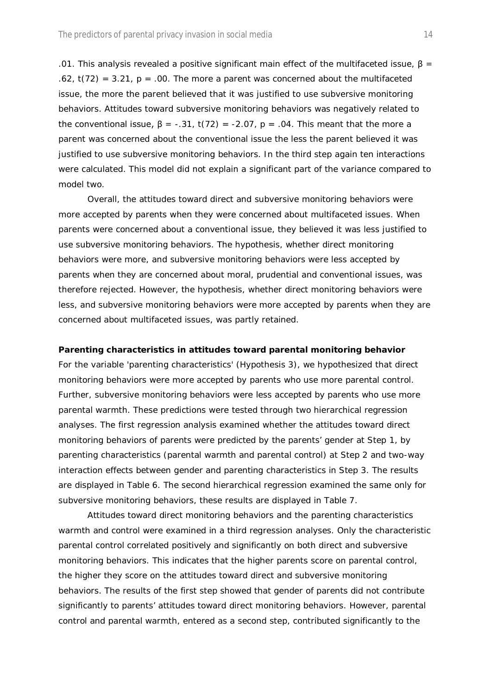.01. This analysis revealed a positive significant main effect of the multifaceted issue,  $\beta$  =  $.62$ ,  $t(72) = 3.21$ ,  $p = .00$ . The more a parent was concerned about the multifaceted issue, the more the parent believed that it was justified to use subversive monitoring behaviors. Attitudes toward subversive monitoring behaviors was negatively related to the conventional issue,  $β = -.31$ ,  $t(72) = -2.07$ ,  $p = .04$ . This meant that the more a parent was concerned about the conventional issue the less the parent believed it was justified to use subversive monitoring behaviors. In the third step again ten interactions were calculated. This model did not explain a significant part of the variance compared to model two.

Overall, the attitudes toward direct and subversive monitoring behaviors were more accepted by parents when they were concerned about multifaceted issues. When parents were concerned about a conventional issue, they believed it was less justified to use subversive monitoring behaviors. The hypothesis, whether direct monitoring behaviors were more, and subversive monitoring behaviors were less accepted by parents when they are concerned about moral, prudential and conventional issues, was therefore rejected. However, the hypothesis, whether direct monitoring behaviors were less, and subversive monitoring behaviors were more accepted by parents when they are concerned about multifaceted issues, was partly retained.

#### **Parenting characteristics in attitudes toward parental monitoring behavior**

For the variable 'parenting characteristics' (Hypothesis 3), we hypothesized that direct monitoring behaviors were more accepted by parents who use more parental control. Further, subversive monitoring behaviors were less accepted by parents who use more parental warmth. These predictions were tested through two hierarchical regression analyses. The first regression analysis examined whether the attitudes toward direct monitoring behaviors of parents were predicted by the parents' gender at Step 1, by parenting characteristics (parental warmth and parental control) at Step 2 and two-way interaction effects between gender and parenting characteristics in Step 3. The results are displayed in Table 6. The second hierarchical regression examined the same only for subversive monitoring behaviors, these results are displayed in Table 7.

*Attitudes toward direct monitoring behaviors* and the parenting characteristics warmth and control were examined in a third regression analyses. Only the characteristic parental control correlated positively and significantly on both direct and subversive monitoring behaviors. This indicates that the higher parents score on parental control, the higher they score on the attitudes toward direct and subversive monitoring behaviors. The results of the first step showed that gender of parents did not contribute significantly to parents' attitudes toward direct monitoring behaviors. However, parental control and parental warmth, entered as a second step, contributed significantly to the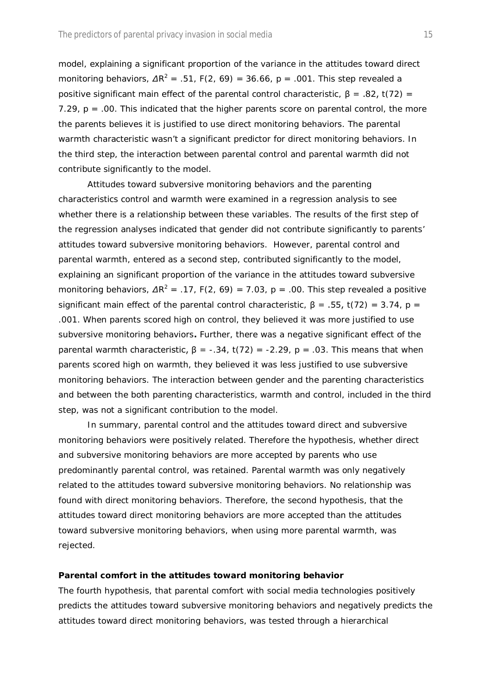model, explaining a significant proportion of the variance in the attitudes toward direct monitoring behaviors,  $\Delta R^2$  = .51,  $F(2, 69)$  = 36.66,  $p$  = .001. This step revealed a positive significant main effect of the parental control characteristic, β = .82, *t*(72) = 7.29,  $p = 0.00$ . This indicated that the higher parents score on parental control, the more the parents believes it is justified to use direct monitoring behaviors. The parental warmth characteristic wasn't a significant predictor for direct monitoring behaviors. In the third step, the interaction between parental control and parental warmth did not contribute significantly to the model.

*Attitudes toward subversive monitoring behaviors* and the parenting characteristics control and warmth were examined in a regression analysis to see whether there is a relationship between these variables. The results of the first step of the regression analyses indicated that gender did not contribute significantly to parents' attitudes toward subversive monitoring behaviors. However, parental control and parental warmth, entered as a second step, contributed significantly to the model, explaining an significant proportion of the variance in the attitudes toward subversive monitoring behaviors,  $\Delta R^2$  = .17, *F*(2, 69) = 7.03, *p* = .00. This step revealed a positive significant main effect of the parental control characteristic,  $\beta = .55$ ,  $t(72) = 3.74$ ,  $p =$ .001. When parents scored high on control, they believed it was more justified to use subversive monitoring behaviors**.** Further, there was a negative significant effect of the parental warmth characteristic,  $\beta = -.34$ ,  $t(72) = .2.29$ ,  $p = .03$ . This means that when parents scored high on warmth, they believed it was less justified to use subversive monitoring behaviors. The interaction between gender and the parenting characteristics and between the both parenting characteristics, warmth and control, included in the third step, was not a significant contribution to the model.

In summary, parental control and the attitudes toward direct and subversive monitoring behaviors were positively related. Therefore the hypothesis, whether direct and subversive monitoring behaviors are more accepted by parents who use predominantly parental control, was retained. Parental warmth was only negatively related to the attitudes toward subversive monitoring behaviors. No relationship was found with direct monitoring behaviors. Therefore, the second hypothesis, that the attitudes toward direct monitoring behaviors are more accepted than the attitudes toward subversive monitoring behaviors, when using more parental warmth, was rejected.

#### **Parental comfort in the attitudes toward monitoring behavior**

The fourth hypothesis, that parental comfort with social media technologies positively predicts the attitudes toward subversive monitoring behaviors and negatively predicts the attitudes toward direct monitoring behaviors, was tested through a hierarchical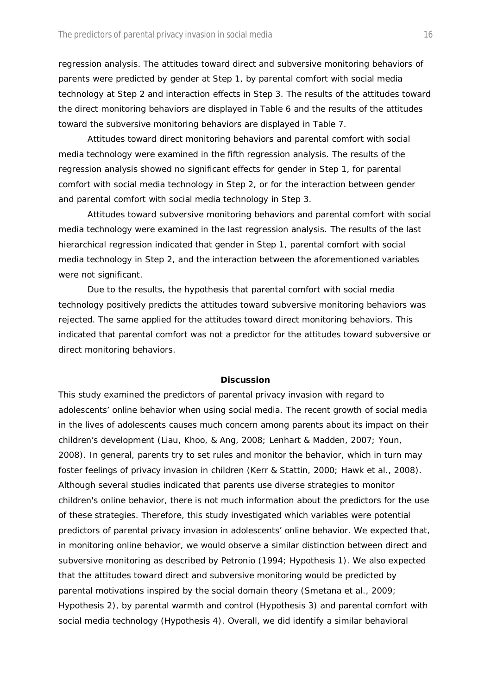regression analysis. The attitudes toward direct and subversive monitoring behaviors of parents were predicted by gender at Step 1, by parental comfort with social media technology at Step 2 and interaction effects in Step 3. The results of the attitudes toward the direct monitoring behaviors are displayed in Table 6 and the results of the attitudes toward the subversive monitoring behaviors are displayed in Table 7.

*Attitudes toward direct monitoring behaviors* and parental comfort with social media technology were examined in the fifth regression analysis. The results of the regression analysis showed no significant effects for gender in Step 1, for parental comfort with social media technology in Step 2, or for the interaction between gender and parental comfort with social media technology in Step 3.

*Attitudes toward subversive monitoring behaviors* and parental comfort with social media technology were examined in the last regression analysis. The results of the last hierarchical regression indicated that gender in Step 1, parental comfort with social media technology in Step 2, and the interaction between the aforementioned variables were not significant.

Due to the results, the hypothesis that parental comfort with social media technology positively predicts the attitudes toward subversive monitoring behaviors was rejected. The same applied for the attitudes toward direct monitoring behaviors. This indicated that parental comfort was not a predictor for the attitudes toward subversive or direct monitoring behaviors.

#### **Discussion**

This study examined the predictors of parental privacy invasion with regard to adolescents' online behavior when using social media. The recent growth of social media in the lives of adolescents causes much concern among parents about its impact on their children's development (Liau, Khoo, & Ang, 2008; Lenhart & Madden, 2007; Youn, 2008). In general, parents try to set rules and monitor the behavior, which in turn may foster feelings of privacy invasion in children (Kerr & Stattin, 2000; Hawk et al., 2008). Although several studies indicated that parents use diverse strategies to monitor children's online behavior, there is not much information about the predictors for the use of these strategies. Therefore, this study investigated which variables were potential predictors of parental privacy invasion in adolescents' online behavior. We expected that, in monitoring online behavior, we would observe a similar distinction between direct and subversive monitoring as described by Petronio (1994; Hypothesis 1). We also expected that the attitudes toward direct and subversive monitoring would be predicted by parental motivations inspired by the social domain theory (Smetana et al., 2009; Hypothesis 2), by parental warmth and control (Hypothesis 3) and parental comfort with social media technology (Hypothesis 4). Overall, we did identify a similar behavioral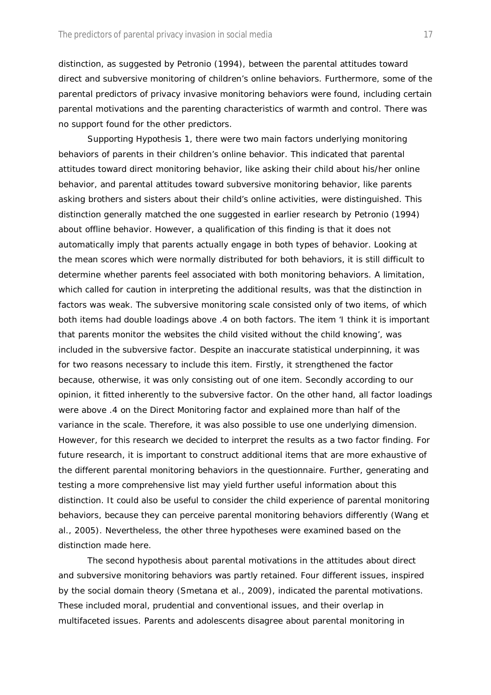distinction, as suggested by Petronio (1994), between the parental attitudes toward direct and subversive monitoring of children's online behaviors. Furthermore, some of the parental predictors of privacy invasive monitoring behaviors were found, including certain parental motivations and the parenting characteristics of warmth and control. There was no support found for the other predictors.

Supporting Hypothesis 1, there were two main factors underlying monitoring behaviors of parents in their children's online behavior. This indicated that parental attitudes toward direct monitoring behavior, like asking their child about his/her online behavior, and parental attitudes toward subversive monitoring behavior, like parents asking brothers and sisters about their child's online activities, were distinguished. This distinction generally matched the one suggested in earlier research by Petronio (1994) about offline behavior. However, a qualification of this finding is that it does not automatically imply that parents actually engage in both types of behavior. Looking at the mean scores which were normally distributed for both behaviors, it is still difficult to determine whether parents feel associated with both monitoring behaviors. A limitation, which called for caution in interpreting the additional results, was that the distinction in factors was weak. The subversive monitoring scale consisted only of two items, of which both items had double loadings above .4 on both factors. The item 'I think it is important that parents monitor the websites the child visited without the child knowing', was included in the subversive factor. Despite an inaccurate statistical underpinning, it was for two reasons necessary to include this item. Firstly, it strengthened the factor because, otherwise, it was only consisting out of one item. Secondly according to our opinion, it fitted inherently to the subversive factor. On the other hand, all factor loadings were above .4 on the Direct Monitoring factor and explained more than half of the variance in the scale. Therefore, it was also possible to use one underlying dimension. However, for this research we decided to interpret the results as a two factor finding. For future research, it is important to construct additional items that are more exhaustive of the different parental monitoring behaviors in the questionnaire. Further, generating and testing a more comprehensive list may yield further useful information about this distinction. It could also be useful to consider the child experience of parental monitoring behaviors, because they can perceive parental monitoring behaviors differently (Wang et al., 2005). Nevertheless, the other three hypotheses were examined based on the distinction made here.

The second hypothesis about parental motivations in the attitudes about direct and subversive monitoring behaviors was partly retained. Four different issues, inspired by the social domain theory (Smetana et al., 2009), indicated the parental motivations. These included moral, prudential and conventional issues, and their overlap in multifaceted issues. Parents and adolescents disagree about parental monitoring in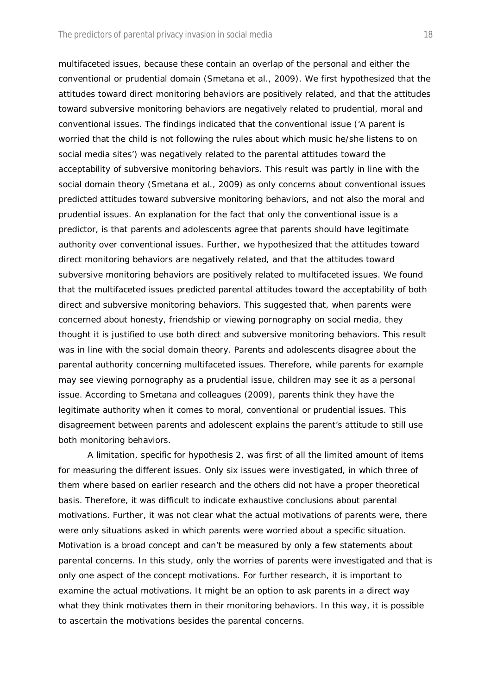multifaceted issues, because these contain an overlap of the personal and either the conventional or prudential domain (Smetana et al., 2009). We first hypothesized that the attitudes toward direct monitoring behaviors are positively related, and that the attitudes toward subversive monitoring behaviors are negatively related to prudential, moral and conventional issues. The findings indicated that the conventional issue ('A parent is worried that the child is not following the rules about which music he/she listens to on social media sites') was negatively related to the parental attitudes toward the acceptability of subversive monitoring behaviors. This result was partly in line with the social domain theory (Smetana et al., 2009) as only concerns about conventional issues predicted attitudes toward subversive monitoring behaviors, and not also the moral and prudential issues. An explanation for the fact that only the conventional issue is a predictor, is that parents and adolescents agree that parents should have legitimate authority over conventional issues. Further, we hypothesized that the attitudes toward direct monitoring behaviors are negatively related, and that the attitudes toward subversive monitoring behaviors are positively related to multifaceted issues. We found that the multifaceted issues predicted parental attitudes toward the acceptability of both direct and subversive monitoring behaviors. This suggested that, when parents were concerned about honesty, friendship or viewing pornography on social media, they thought it is justified to use both direct and subversive monitoring behaviors. This result was in line with the social domain theory. Parents and adolescents disagree about the parental authority concerning multifaceted issues. Therefore, while parents for example may see viewing pornography as a prudential issue, children may see it as a personal issue. According to Smetana and colleagues (2009), parents think they have the legitimate authority when it comes to moral, conventional or prudential issues. This disagreement between parents and adolescent explains the parent's attitude to still use both monitoring behaviors.

A limitation, specific for hypothesis 2, was first of all the limited amount of items for measuring the different issues. Only six issues were investigated, in which three of them where based on earlier research and the others did not have a proper theoretical basis. Therefore, it was difficult to indicate exhaustive conclusions about parental motivations. Further, it was not clear what the actual motivations of parents were, there were only situations asked in which parents were worried about a specific situation. Motivation is a broad concept and can't be measured by only a few statements about parental concerns. In this study, only the worries of parents were investigated and that is only one aspect of the concept motivations. For further research, it is important to examine the actual motivations. It might be an option to ask parents in a direct way what they think motivates them in their monitoring behaviors. In this way, it is possible to ascertain the motivations besides the parental concerns.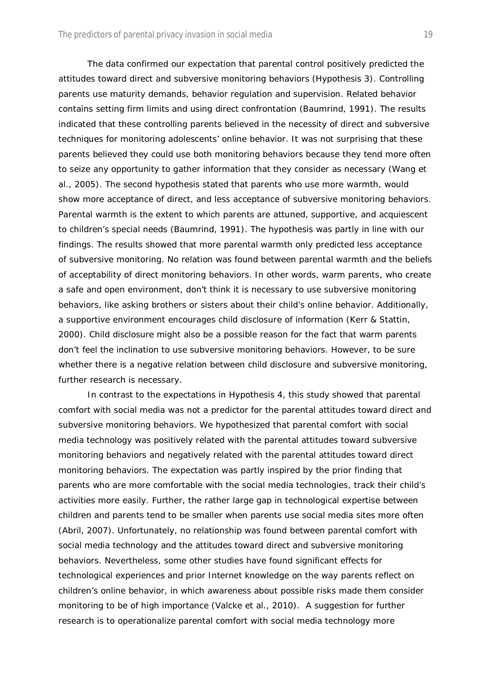The data confirmed our expectation that parental control positively predicted the attitudes toward direct and subversive monitoring behaviors (Hypothesis 3). Controlling parents use maturity demands, behavior regulation and supervision. Related behavior contains setting firm limits and using direct confrontation (Baumrind, 1991). The results indicated that these controlling parents believed in the necessity of direct and subversive techniques for monitoring adolescents' online behavior. It was not surprising that these parents believed they could use both monitoring behaviors because they tend more often to seize any opportunity to gather information that they consider as necessary (Wang et al., 2005). The second hypothesis stated that parents who use more warmth, would show more acceptance of direct, and less acceptance of subversive monitoring behaviors. Parental warmth is the extent to which parents are attuned, supportive, and acquiescent to children's special needs (Baumrind, 1991). The hypothesis was partly in line with our findings. The results showed that more parental warmth only predicted less acceptance of subversive monitoring. No relation was found between parental warmth and the beliefs of acceptability of direct monitoring behaviors. In other words, warm parents, who create a safe and open environment, don't think it is necessary to use subversive monitoring behaviors, like asking brothers or sisters about their child's online behavior. Additionally, a supportive environment encourages child disclosure of information (Kerr & Stattin, 2000). Child disclosure might also be a possible reason for the fact that warm parents don't feel the inclination to use subversive monitoring behaviors. However, to be sure whether there is a negative relation between child disclosure and subversive monitoring, further research is necessary.

In contrast to the expectations in Hypothesis 4, this study showed that parental comfort with social media was not a predictor for the parental attitudes toward direct and subversive monitoring behaviors. We hypothesized that parental comfort with social media technology was positively related with the parental attitudes toward subversive monitoring behaviors and negatively related with the parental attitudes toward direct monitoring behaviors. The expectation was partly inspired by the prior finding that parents who are more comfortable with the social media technologies, track their child's activities more easily. Further, the rather large gap in technological expertise between children and parents tend to be smaller when parents use social media sites more often (Abril, 2007). Unfortunately, no relationship was found between parental comfort with social media technology and the attitudes toward direct and subversive monitoring behaviors. Nevertheless, some other studies have found significant effects for technological experiences and prior Internet knowledge on the way parents reflect on children's online behavior, in which awareness about possible risks made them consider monitoring to be of high importance (Valcke et al., 2010). A suggestion for further research is to operationalize parental comfort with social media technology more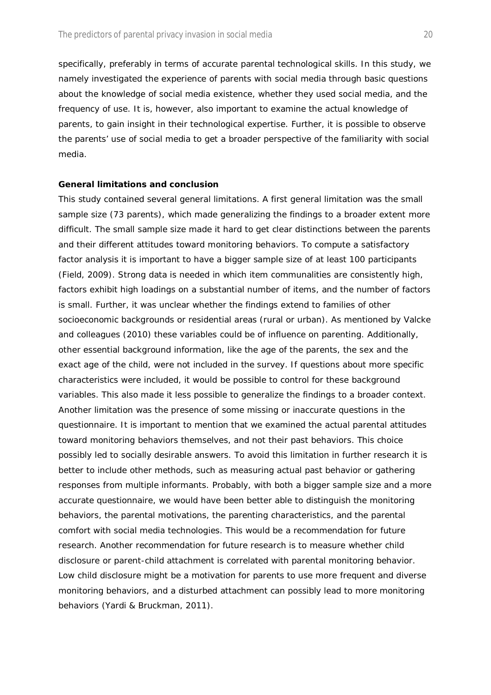specifically, preferably in terms of accurate parental technological skills. In this study, we namely investigated the experience of parents with social media through basic questions about the knowledge of social media existence, whether they used social media, and the frequency of use. It is, however, also important to examine the actual knowledge of parents, to gain insight in their technological expertise. Further, it is possible to observe the parents' use of social media to get a broader perspective of the familiarity with social media.

#### **General limitations and conclusion**

This study contained several general limitations. A first general limitation was the small sample size (73 parents), which made generalizing the findings to a broader extent more difficult. The small sample size made it hard to get clear distinctions between the parents and their different attitudes toward monitoring behaviors. To compute a satisfactory factor analysis it is important to have a bigger sample size of at least 100 participants (Field, 2009). Strong data is needed in which item communalities are consistently high, factors exhibit high loadings on a substantial number of items, and the number of factors is small. Further, it was unclear whether the findings extend to families of other socioeconomic backgrounds or residential areas (rural or urban). As mentioned by Valcke and colleagues (2010) these variables could be of influence on parenting. Additionally, other essential background information, like the age of the parents, the sex and the exact age of the child, were not included in the survey. If questions about more specific characteristics were included, it would be possible to control for these background variables. This also made it less possible to generalize the findings to a broader context. Another limitation was the presence of some missing or inaccurate questions in the questionnaire. It is important to mention that we examined the actual parental attitudes toward monitoring behaviors themselves, and not their past behaviors. This choice possibly led to socially desirable answers. To avoid this limitation in further research it is better to include other methods, such as measuring actual past behavior or gathering responses from multiple informants. Probably, with both a bigger sample size and a more accurate questionnaire, we would have been better able to distinguish the monitoring behaviors, the parental motivations, the parenting characteristics, and the parental comfort with social media technologies. This would be a recommendation for future research. Another recommendation for future research is to measure whether child disclosure or parent-child attachment is correlated with parental monitoring behavior. Low child disclosure might be a motivation for parents to use more frequent and diverse monitoring behaviors, and a disturbed attachment can possibly lead to more monitoring behaviors (Yardi & Bruckman, 2011).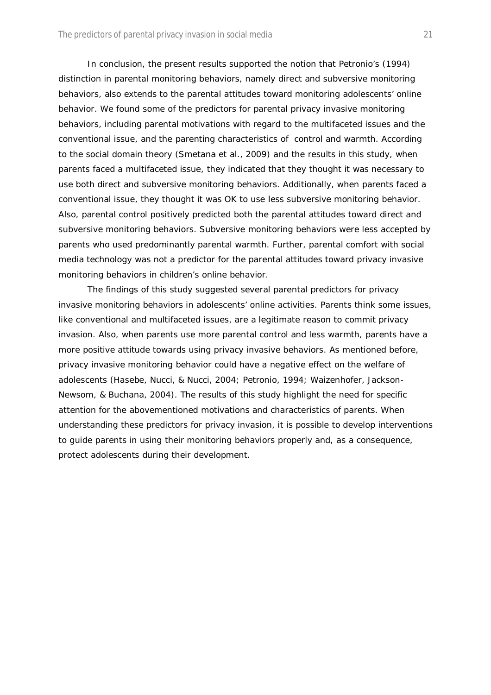In conclusion, the present results supported the notion that Petronio's (1994) distinction in parental monitoring behaviors, namely direct and subversive monitoring behaviors, also extends to the parental attitudes toward monitoring adolescents' online behavior. We found some of the predictors for parental privacy invasive monitoring behaviors, including parental motivations with regard to the multifaceted issues and the conventional issue, and the parenting characteristics of control and warmth. According to the social domain theory (Smetana et al., 2009) and the results in this study, when parents faced a multifaceted issue, they indicated that they thought it was necessary to use both direct and subversive monitoring behaviors. Additionally, when parents faced a conventional issue, they thought it was OK to use less subversive monitoring behavior. Also, parental control positively predicted both the parental attitudes toward direct and subversive monitoring behaviors. Subversive monitoring behaviors were less accepted by parents who used predominantly parental warmth. Further, parental comfort with social media technology was not a predictor for the parental attitudes toward privacy invasive monitoring behaviors in children's online behavior.

The findings of this study suggested several parental predictors for privacy invasive monitoring behaviors in adolescents' online activities. Parents think some issues, like conventional and multifaceted issues, are a legitimate reason to commit privacy invasion. Also, when parents use more parental control and less warmth, parents have a more positive attitude towards using privacy invasive behaviors. As mentioned before, privacy invasive monitoring behavior could have a negative effect on the welfare of adolescents (Hasebe, Nucci, & Nucci, 2004; Petronio, 1994; Waizenhofer, Jackson-Newsom, & Buchana, 2004). The results of this study highlight the need for specific attention for the abovementioned motivations and characteristics of parents. When understanding these predictors for privacy invasion, it is possible to develop interventions to guide parents in using their monitoring behaviors properly and, as a consequence, protect adolescents during their development.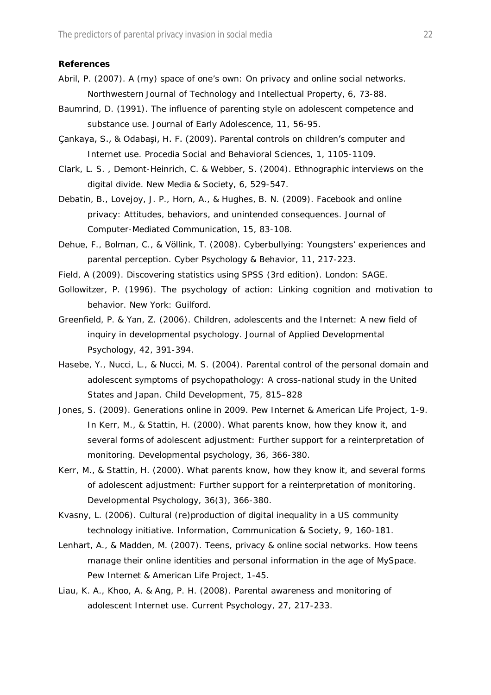#### **References**

- Abril, P. (2007). A (my) space of one's own: On privacy and online social networks. *Northwestern Journal of Technology and Intellectual Property, 6,* 73-88.
- Baumrind, D. (1991). The influence of parenting style on adolescent competence and substance use. *Journal of Early Adolescence, 11,* 56-95.
- Çankaya, S., & Odabaşi, H. F. (2009). Parental controls on children's computer and Internet use. *Procedia Social and Behavioral Sciences, 1,* 1105-1109.
- Clark, L. S. , Demont-Heinrich, C. & Webber, S. (2004). Ethnographic interviews on the digital divide. *New Media & Society, 6,* 529-547.
- Debatin, B., Lovejoy, J. P., Horn, A., & Hughes, B. N. (2009). Facebook and online privacy: Attitudes, behaviors, and unintended consequences. *Journal of Computer-Mediated Communication, 15*, 83-108.
- Dehue, F., Bolman, C., & Völlink, T. (2008). Cyberbullying: Youngsters' experiences and parental perception. *Cyber Psychology & Behavior, 11*, 217-223.
- Field, A (2009). *Discovering statistics using SPSS (3rd edition).* London: SAGE.
- Gollowitzer, P. (1996). *The psychology of action: Linking cognition and motivation to behavior.* New York: Guilford.
- Greenfield, P. & Yan, Z. (2006). Children, adolescents and the Internet: A new field of inquiry in developmental psychology. *Journal of Applied Developmental Psychology, 42*, 391-394.
- Hasebe, Y., Nucci, L., & Nucci, M. S. (2004). Parental control of the personal domain and adolescent symptoms of psychopathology: A cross-national study in the United States and Japan. *Child Development, 75,* 815–828
- Jones, S. (2009). Generations online in 2009. *Pew Internet & American Life Project*, 1-9. In Kerr, M., & Stattin, H. (2000). What parents know, how they know it, and several forms of adolescent adjustment: Further support for a reinterpretation of monitoring. *Developmental psychology, 36,* 366-380.
- Kerr, M., & Stattin, H. (2000). What parents know, how they know it, and several forms of adolescent adjustment: Further support for a reinterpretation of monitoring. *Developmental Psychology, 36(3)*, 366-380.
- Kvasny, L. (2006). Cultural (re)production of digital inequality in a US community technology initiative. *Information, Communication & Society, 9*, 160-181.
- Lenhart, A., & Madden, M. (2007). Teens, privacy & online social networks. How teens manage their online identities and personal information in the age of MySpace. *Pew Internet & American Life Project,* 1-45.
- Liau, K. A., Khoo, A. & Ang, P. H. (2008). Parental awareness and monitoring of adolescent Internet use. *Current Psychology, 27*, 217-233.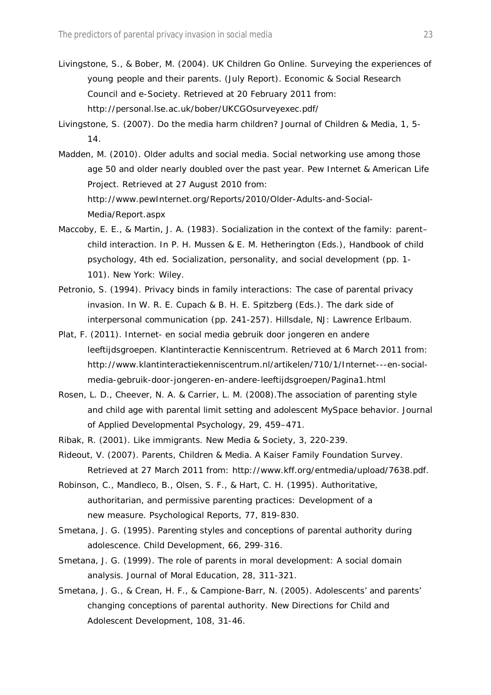- Livingstone, S., & Bober, M. (2004). UK Children Go Online. Surveying the experiences of young people and their parents. (July Report). *Economic & Social Research Council and e-Society.* Retrieved at 20 February 2011 from: http://personal.lse.ac.uk/bober/UKCGOsurveyexec.pdf/
- Livingstone, S. (2007). Do the media harm children? *Journal of Children & Media, 1*, 5- 14.
- Madden, M. (2010). Older adults and social media. Social networking use among those age 50 and older nearly doubled over the past year. Pew Internet & American Life Project. Retrieved at 27 August 2010 from: http://www.pewInternet.org/Reports/2010/Older-Adults-and-Social-Media/Report.aspx
- Maccoby, E. E., & Martin, J. A. (1983). Socialization in the context of the family: parent– child interaction. In P. H. Mussen & E. M. Hetherington (Eds.), *Handbook of child psychology, 4th ed. Socialization, personality, and social development* (pp. 1- 101). New York: Wiley.
- Petronio, S. (1994). Privacy binds in family interactions: The case of parental privacy invasion. In W. R. E. Cupach & B. H. E. Spitzberg (Eds.). *The dark side of interpersonal communication* (pp. 241-257). Hillsdale, NJ: Lawrence Erlbaum.
- Plat, F. (2011). Internet- en social media gebruik door jongeren en andere leeftijdsgroepen. Klantinteractie Kenniscentrum. Retrieved at 6 March 2011 from: http://www.klantinteractiekenniscentrum.nl/artikelen/710/1/Internet---en-socialmedia-gebruik-door-jongeren-en-andere-leeftijdsgroepen/Pagina1.html
- Rosen, L. D., Cheever, N. A. & Carrier, L. M. (2008).The association of parenting style and child age with parental limit setting and adolescent MySpace behavior. *Journal of Applied Developmental Psychology, 29,* 459–471.
- Ribak, R. (2001). Like immigrants. *New Media & Society*, *3,* 220-239.
- Rideout, V. (2007). Parents, Children & Media. A Kaiser Family Foundation Survey. Retrieved at 27 March 2011 from: http://www.kff.org/entmedia/upload/7638.pdf.
- Robinson, C., Mandleco, B., Olsen, S. F., & Hart, C. H. (1995). Authoritative, authoritarian, and permissive parenting practices: Development of a new measure. *Psychological Reports, 77,* 819-830.
- Smetana, J. G. (1995). Parenting styles and conceptions of parental authority during adolescence. *Child Development, 66,* 299-316.
- Smetana, J. G. (1999). The role of parents in moral development: A social domain analysis. *Journal of Moral Education, 28*, 311-321.
- Smetana, J. G., & Crean, H. F., & Campione-Barr, N. (2005). Adolescents' and parents' changing conceptions of parental authority. *New Directions for Child and Adolescent Development, 108,* 31-46.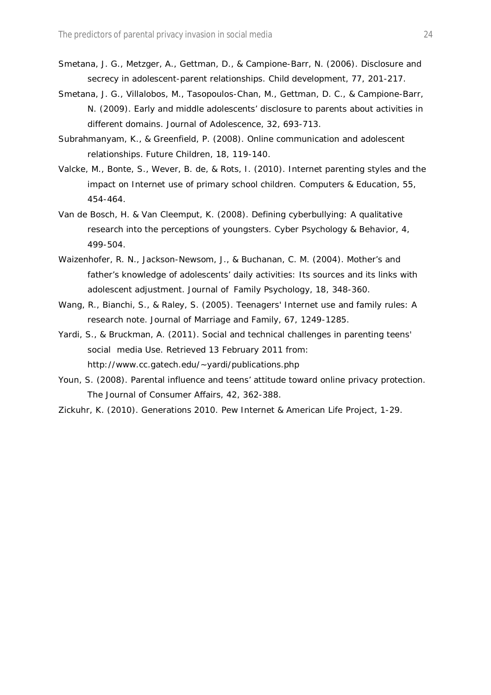- Smetana, J. G., Metzger, A., Gettman, D., & Campione-Barr, N. (2006). Disclosure and secrecy in adolescent-parent relationships. *Child development, 77,* 201-217.
- Smetana, J. G., Villalobos, M., Tasopoulos-Chan, M., Gettman, D. C., & Campione-Barr, N. (2009). Early and middle adolescents' disclosure to parents about activities in different domains. *Journal of Adolescence, 32,* 693-713.
- Subrahmanyam, K., & Greenfield, P. (2008). Online communication and adolescent relationships. *Future Children, 18,* 119-140.
- Valcke, M., Bonte, S., Wever, B. de, & Rots, I. (2010). Internet parenting styles and the impact on Internet use of primary school children. *Computers & Education, 55,* 454-464.
- Van de Bosch, H. & Van Cleemput, K. (2008). Defining cyberbullying: A qualitative research into the perceptions of youngsters. *Cyber Psychology & Behavior, 4,* 499-504.
- Waizenhofer, R. N., Jackson-Newsom, J., & Buchanan, C. M. (2004). Mother's and father's knowledge of adolescents' daily activities: Its sources and its links with adolescent adjustment. *Journal of Family Psychology, 18,* 348-360.
- Wang, R., Bianchi, S., & Raley, S. (2005). Teenagers' Internet use and family rules: A research note. *Journal of Marriage and Family, 67,* 1249-1285.
- Yardi, S., & Bruckman, A. (2011). Social and technical challenges in parenting teens' social media Use. Retrieved 13 February 2011 from: http://www.cc.gatech.edu/~yardi/publications.php
- Youn, S. (2008). Parental influence and teens' attitude toward online privacy protection. *The Journal of Consumer Affairs, 42,* 362-388.
- Zickuhr, K. (2010). Generations 2010. *Pew Internet & American Life Project*, 1-29.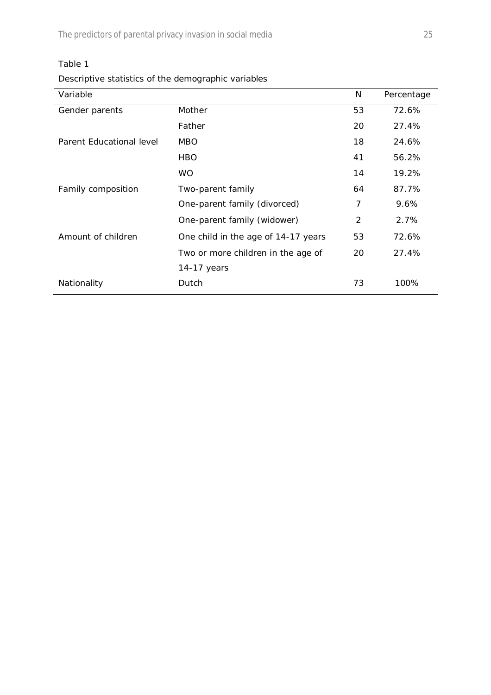The predictors of parental privacy invasion in social media 25

| able |  |
|------|--|
|------|--|

*Descriptive statistics of the demographic variables*

| Variable                 |                                     | N  | Percentage |
|--------------------------|-------------------------------------|----|------------|
| Gender parents           | Mother                              | 53 | 72.6%      |
|                          | Father                              | 20 | 27.4%      |
| Parent Educational level | MBO                                 | 18 | 24.6%      |
|                          | HBO.                                | 41 | 56.2%      |
|                          | <b>WO</b>                           | 14 | 19.2%      |
| Family composition       | Two-parent family                   | 64 | 87.7%      |
|                          | One-parent family (divorced)        | 7  | $9.6\%$    |
|                          | One-parent family (widower)         | 2  | 2.7%       |
| Amount of children       | One child in the age of 14-17 years | 53 | 72.6%      |
|                          | Two or more children in the age of  | 20 | 27.4%      |
|                          | 14-17 years                         |    |            |
| Nationality              | Dutch                               | 73 | 100%       |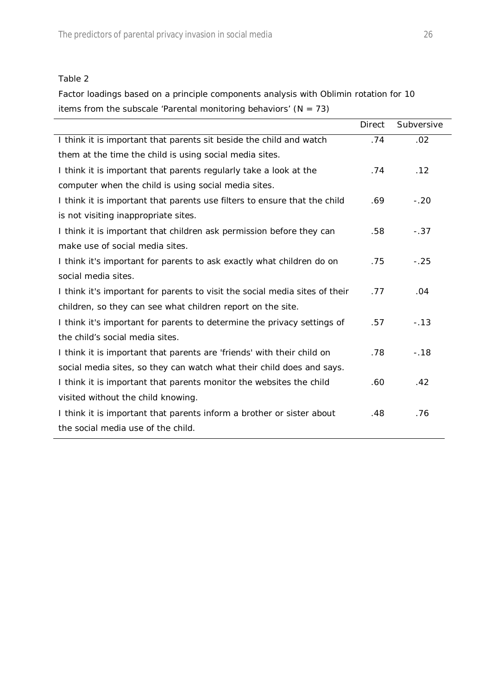*Factor loadings based on a principle components analysis with Oblimin rotation for 10 items from the subscale 'Parental monitoring behaviors' (N = 73)*

|                                                                             | <b>Direct</b> | Subversive |
|-----------------------------------------------------------------------------|---------------|------------|
| I think it is important that parents sit beside the child and watch         | .74           | .02        |
| them at the time the child is using social media sites.                     |               |            |
| I think it is important that parents regularly take a look at the           | .74           | .12        |
| computer when the child is using social media sites.                        |               |            |
| I think it is important that parents use filters to ensure that the child   | .69           | $-.20$     |
| is not visiting inappropriate sites.                                        |               |            |
| I think it is important that children ask permission before they can        | .58           | $-.37$     |
| make use of social media sites.                                             |               |            |
| I think it's important for parents to ask exactly what children do on       | .75           | $-.25$     |
| social media sites.                                                         |               |            |
| I think it's important for parents to visit the social media sites of their | .77           | .04        |
| children, so they can see what children report on the site.                 |               |            |
| I think it's important for parents to determine the privacy settings of     | .57           | $-.13$     |
| the child's social media sites.                                             |               |            |
| I think it is important that parents are 'friends' with their child on      | .78           | $-.18$     |
| social media sites, so they can watch what their child does and says.       |               |            |
| I think it is important that parents monitor the websites the child         | .60           | .42        |
| visited without the child knowing.                                          |               |            |
| I think it is important that parents inform a brother or sister about       | .48           | .76        |
| the social media use of the child.                                          |               |            |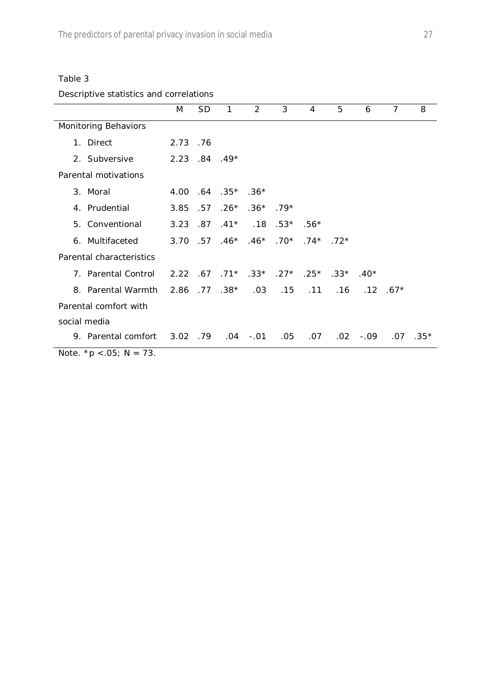## *Descriptive statistics and correlations*

|                                       | M             | <b>SD</b> | $\mathbf{1}$         | $\overline{2}$                                  | 3   | 4      | 5                                        | 6           | $\overline{7}$ | 8          |
|---------------------------------------|---------------|-----------|----------------------|-------------------------------------------------|-----|--------|------------------------------------------|-------------|----------------|------------|
| Monitoring Behaviors                  |               |           |                      |                                                 |     |        |                                          |             |                |            |
| 1. Direct                             | 2.73 .76      |           |                      |                                                 |     |        |                                          |             |                |            |
| 2. Subversive                         | $2.23.84.49*$ |           |                      |                                                 |     |        |                                          |             |                |            |
| Parental motivations                  |               |           |                      |                                                 |     |        |                                          |             |                |            |
| 3. Moral                              |               |           | $4.00$ .64 .35* .36* |                                                 |     |        |                                          |             |                |            |
| 4. Prudential                         | 3.85 .57      |           |                      | $.26*$ .36* .79*                                |     |        |                                          |             |                |            |
| 5. Conventional                       |               |           |                      | $3.23$ .87 .41* .18 .53*                        |     | $.56*$ |                                          |             |                |            |
| 6. Multifaceted                       |               |           |                      | $3.70$ $.57$ $.46*$ $.46*$ $.70*$ $.74*$ $.72*$ |     |        |                                          |             |                |            |
| Parental characteristics              |               |           |                      |                                                 |     |        |                                          |             |                |            |
| 7. Parental Control                   |               |           |                      |                                                 |     |        | $2.22$ .67 .71* .33* .27* .25* .33* .40* |             |                |            |
| 8. Parental Warmth                    |               |           | $2.86$ .77 .38*      | .03                                             |     |        | $.15$ $.11$ $.16$                        |             | $.12$ $.67*$   |            |
| Parental comfort with                 |               |           |                      |                                                 |     |        |                                          |             |                |            |
| social media                          |               |           |                      |                                                 |     |        |                                          |             |                |            |
| 9. Parental comfort 3.02 .79 .04 -.01 |               |           |                      |                                                 | .05 | .07    |                                          | $.02 - .09$ |                | $.07$ .35* |
| <i>Note.</i> $* p < .05$ ; N = 73.    |               |           |                      |                                                 |     |        |                                          |             |                |            |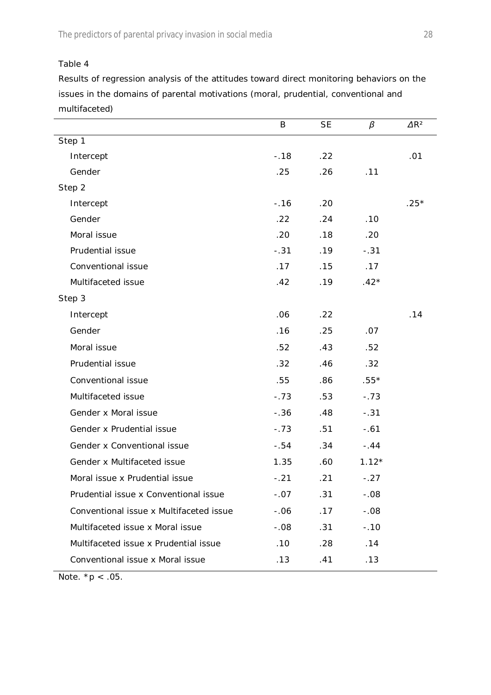*Results of regression analysis of the attitudes toward direct monitoring behaviors on the issues in the domains of parental motivations (moral, prudential, conventional and multifaceted)*

|                                         | B       | SE  | $\beta$ | $\Delta R^2$ |
|-----------------------------------------|---------|-----|---------|--------------|
| Step 1                                  |         |     |         |              |
| Intercept                               | $-.18$  | .22 |         | .01          |
| Gender                                  | .25     | .26 | .11     |              |
| Step 2                                  |         |     |         |              |
| Intercept                               | $-0.16$ | .20 |         | $.25*$       |
| Gender                                  | .22     | .24 | .10     |              |
| Moral issue                             | .20     | .18 | .20     |              |
| Prudential issue                        | $-.31$  | .19 | $-.31$  |              |
| Conventional issue                      | .17     | .15 | .17     |              |
| Multifaceted issue                      | .42     | .19 | $.42*$  |              |
| Step 3                                  |         |     |         |              |
| Intercept                               | .06     | .22 |         | .14          |
| Gender                                  | .16     | .25 | .07     |              |
| Moral issue                             | .52     | .43 | .52     |              |
| Prudential issue                        | .32     | .46 | .32     |              |
| Conventional issue                      | .55     | .86 | $.55*$  |              |
| Multifaceted issue                      | $-.73$  | .53 | $-.73$  |              |
| Gender x Moral issue                    | $-.36$  | .48 | $-.31$  |              |
| Gender x Prudential issue               | $-.73$  | .51 | $-.61$  |              |
| Gender x Conventional issue             | $-.54$  | .34 | $-.44$  |              |
| Gender x Multifaceted issue             | 1.35    | .60 | $1.12*$ |              |
| Moral issue x Prudential issue          | $-.21$  | .21 | $-.27$  |              |
| Prudential issue x Conventional issue   | $-.07$  | .31 | $-.08$  |              |
| Conventional issue x Multifaceted issue | $-.06$  | .17 | $-.08$  |              |
| Multifaceted issue x Moral issue        | $-.08$  | .31 | $-.10$  |              |
| Multifaceted issue x Prudential issue   | .10     | .28 | .14     |              |
| Conventional issue x Moral issue        | .13     | .41 | .13     |              |

*Note.*  $* p < .05$ .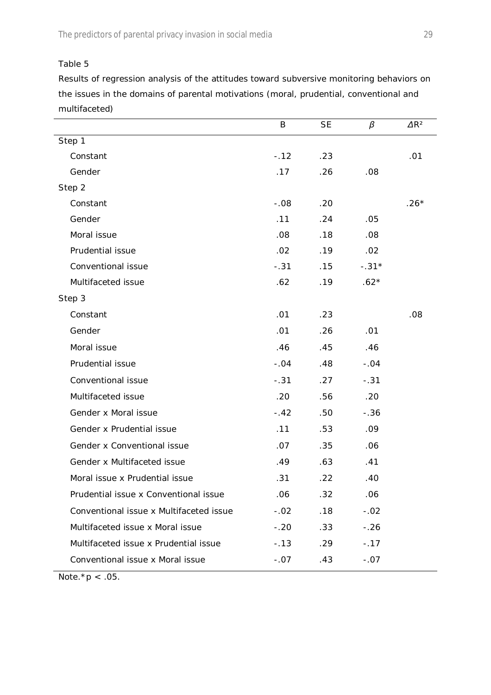*Results of regression analysis of the attitudes toward subversive monitoring behaviors on the issues in the domains of parental motivations (moral, prudential, conventional and multifaceted)*

|                                         | B      | <b>SE</b> | $\beta$ | $\Delta R^2$ |
|-----------------------------------------|--------|-----------|---------|--------------|
| Step 1                                  |        |           |         |              |
| Constant                                | $-.12$ | .23       |         | .01          |
| Gender                                  | .17    | .26       | .08     |              |
| Step 2                                  |        |           |         |              |
| Constant                                | $-.08$ | .20       |         | $.26*$       |
| Gender                                  | .11    | .24       | .05     |              |
| Moral issue                             | .08    | .18       | .08     |              |
| Prudential issue                        | .02    | .19       | .02     |              |
| Conventional issue                      | $-.31$ | .15       | $-.31*$ |              |
| Multifaceted issue                      | .62    | .19       | $.62*$  |              |
| Step 3                                  |        |           |         |              |
| Constant                                | .01    | .23       |         | .08          |
| Gender                                  | .01    | .26       | .01     |              |
| Moral issue                             | .46    | .45       | .46     |              |
| Prudential issue                        | $-.04$ | .48       | $-.04$  |              |
| Conventional issue                      | $-.31$ | .27       | $-.31$  |              |
| Multifaceted issue                      | .20    | .56       | .20     |              |
| Gender x Moral issue                    | $-.42$ | .50       | $-.36$  |              |
| Gender x Prudential issue               | .11    | .53       | .09     |              |
| Gender x Conventional issue             | .07    | .35       | .06     |              |
| Gender x Multifaceted issue             | .49    | .63       | .41     |              |
| Moral issue x Prudential issue          | .31    | .22       | .40     |              |
| Prudential issue x Conventional issue   | .06    | .32       | .06     |              |
| Conventional issue x Multifaceted issue | $-.02$ | .18       | $-.02$  |              |
| Multifaceted issue x Moral issue        | $-.20$ | .33       | $-.26$  |              |
| Multifaceted issue x Prudential issue   | $-.13$ | .29       | $-.17$  |              |
| Conventional issue x Moral issue        | $-.07$ | .43       | $-.07$  |              |

*Note.\*p* < .05.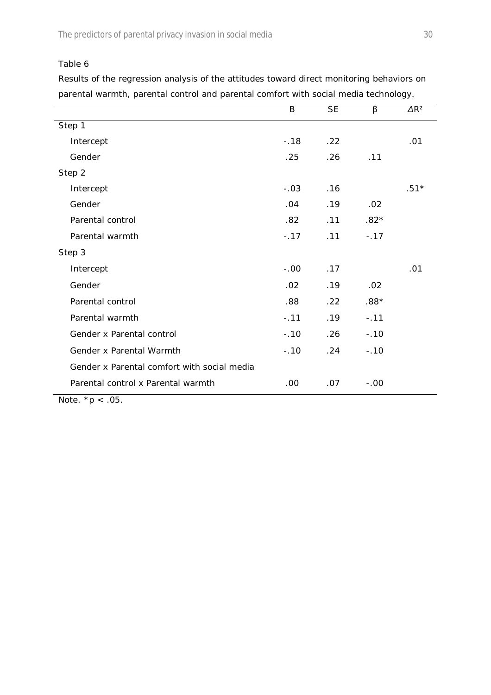The predictors of parental privacy invasion in social media 30

Table 6

*Results of the regression analysis of the attitudes toward direct monitoring behaviors on parental warmth, parental control and parental comfort with social media technology.*

|                                                       | B      | SE  | β      | $\Delta R^2$ |
|-------------------------------------------------------|--------|-----|--------|--------------|
| Step 1                                                |        |     |        |              |
| Intercept                                             | $-.18$ | .22 |        | .01          |
| Gender                                                | .25    | .26 | .11    |              |
| Step 2                                                |        |     |        |              |
| Intercept                                             | $-.03$ | .16 |        | $.51*$       |
| Gender                                                | .04    | .19 | .02    |              |
| Parental control                                      | .82    | .11 | $.82*$ |              |
| Parental warmth                                       | $-.17$ | .11 | $-.17$ |              |
| Step 3                                                |        |     |        |              |
| Intercept                                             | $-.00$ | .17 |        | .01          |
| Gender                                                | .02    | .19 | .02    |              |
| Parental control                                      | .88    | .22 | $.88*$ |              |
| Parental warmth                                       | $-.11$ | .19 | $-.11$ |              |
| Gender x Parental control                             | $-.10$ | .26 | $-.10$ |              |
| Gender x Parental Warmth                              | $-.10$ | .24 | $-.10$ |              |
| Gender x Parental comfort with social media           |        |     |        |              |
| Parental control x Parental warmth<br>$N = 1 - 4 - 0$ | .00    | .07 | $-.00$ |              |

*Note.*  $* p < .05$ .